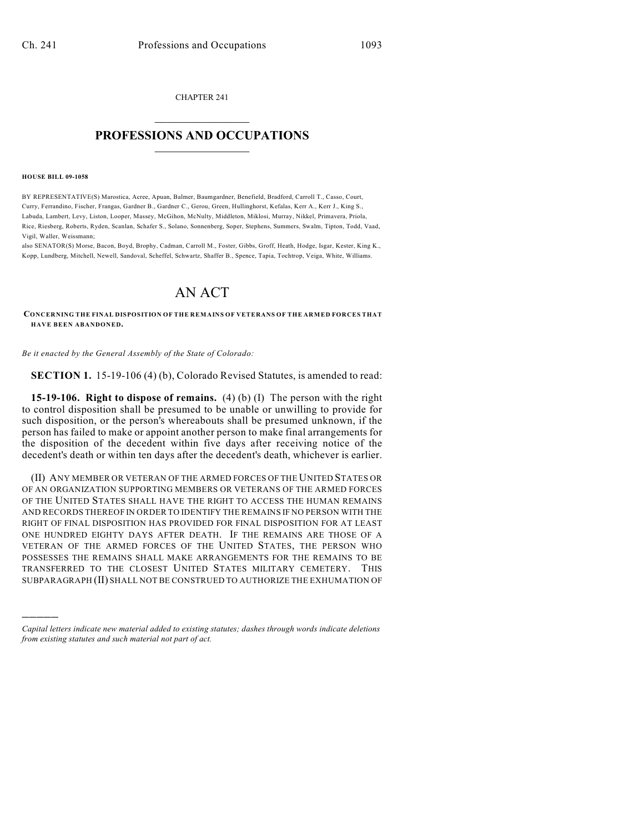CHAPTER 241  $\mathcal{L}_\text{max}$  . The set of the set of the set of the set of the set of the set of the set of the set of the set of the set of the set of the set of the set of the set of the set of the set of the set of the set of the set

## **PROFESSIONS AND OCCUPATIONS**  $\frac{1}{2}$  ,  $\frac{1}{2}$  ,  $\frac{1}{2}$  ,  $\frac{1}{2}$  ,  $\frac{1}{2}$  ,  $\frac{1}{2}$

## **HOUSE BILL 09-1058**

)))))

BY REPRESENTATIVE(S) Marostica, Acree, Apuan, Balmer, Baumgardner, Benefield, Bradford, Carroll T., Casso, Court, Curry, Ferrandino, Fischer, Frangas, Gardner B., Gardner C., Gerou, Green, Hullinghorst, Kefalas, Kerr A., Kerr J., King S., Labuda, Lambert, Levy, Liston, Looper, Massey, McGihon, McNulty, Middleton, Miklosi, Murray, Nikkel, Primavera, Priola, Rice, Riesberg, Roberts, Ryden, Scanlan, Schafer S., Solano, Sonnenberg, Soper, Stephens, Summers, Swalm, Tipton, Todd, Vaad, Vigil, Waller, Weissmann;

also SENATOR(S) Morse, Bacon, Boyd, Brophy, Cadman, Carroll M., Foster, Gibbs, Groff, Heath, Hodge, Isgar, Kester, King K., Kopp, Lundberg, Mitchell, Newell, Sandoval, Scheffel, Schwartz, Shaffer B., Spence, Tapia, Tochtrop, Veiga, White, Williams.

## AN ACT

**CONCERNING THE FINAL DISPOSITION OF THE REMAINS OF VETERANS OF THE ARMED FORCES THAT HAVE BEEN ABANDONED.**

*Be it enacted by the General Assembly of the State of Colorado:*

**SECTION 1.** 15-19-106 (4) (b), Colorado Revised Statutes, is amended to read:

**15-19-106. Right to dispose of remains.** (4) (b) (I) The person with the right to control disposition shall be presumed to be unable or unwilling to provide for such disposition, or the person's whereabouts shall be presumed unknown, if the person has failed to make or appoint another person to make final arrangements for the disposition of the decedent within five days after receiving notice of the decedent's death or within ten days after the decedent's death, whichever is earlier.

(II) ANY MEMBER OR VETERAN OF THE ARMED FORCES OF THE UNITED STATES OR OF AN ORGANIZATION SUPPORTING MEMBERS OR VETERANS OF THE ARMED FORCES OF THE UNITED STATES SHALL HAVE THE RIGHT TO ACCESS THE HUMAN REMAINS AND RECORDS THEREOF IN ORDER TO IDENTIFY THE REMAINS IF NO PERSON WITH THE RIGHT OF FINAL DISPOSITION HAS PROVIDED FOR FINAL DISPOSITION FOR AT LEAST ONE HUNDRED EIGHTY DAYS AFTER DEATH. IF THE REMAINS ARE THOSE OF A VETERAN OF THE ARMED FORCES OF THE UNITED STATES, THE PERSON WHO POSSESSES THE REMAINS SHALL MAKE ARRANGEMENTS FOR THE REMAINS TO BE TRANSFERRED TO THE CLOSEST UNITED STATES MILITARY CEMETERY. THIS SUBPARAGRAPH (II) SHALL NOT BE CONSTRUED TO AUTHORIZE THE EXHUMATION OF

*Capital letters indicate new material added to existing statutes; dashes through words indicate deletions from existing statutes and such material not part of act.*